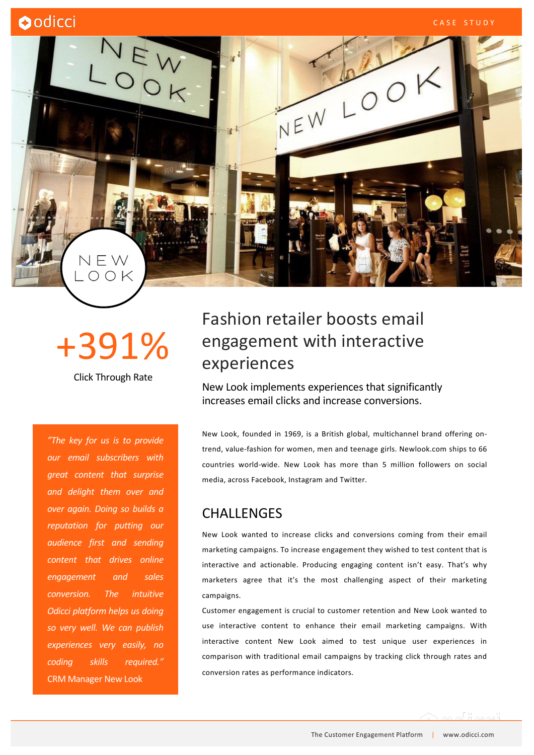

# +391%

Click Through Rate

*"The key for us is to provide our email subscribers with great content that surprise and delight them over and over again. Doing so builds a reputation for putting our audience first and sending content that drives online engagement and sales conversion. The intuitive Odicci platform helps us doing so very well. We can publish experiences very easily, no coding skills required."* CRM Manager New Look

## Fashion retailer boosts email engagement with interactive experiences

New Look implements experiences that significantly increases email clicks and increase conversions.

New Look, founded in 1969, is a British global, multichannel brand offering ontrend, value-fashion for women, men and teenage girls. Newlook.com ships to 66 countries world-wide. New Look has more than 5 million followers on social media, across Facebook, Instagram and Twitter.

#### CHALLENGES

New Look wanted to increase clicks and conversions coming from their email marketing campaigns. To increase engagement they wished to test content that is interactive and actionable. Producing engaging content isn't easy. That's why marketers agree that it's the most challenging aspect of their marketing campaigns.

Customer engagement is crucial to customer retention and New Look wanted to use interactive content to enhance their email marketing campaigns. With interactive content New Look aimed to test unique user experiences in comparison with traditional email campaigns by tracking click through rates and conversion rates as performance indicators.

The Customer Engagement Platform | www.odicci.com